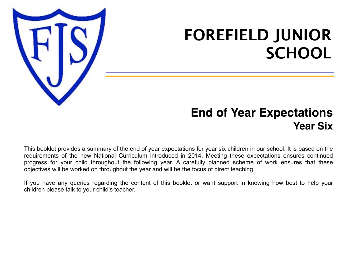

# **FOREFIELD JUNIOR SCHOOL**

## **End of Year Expectations Year Six**

This booklet provides a summary of the end of year expectations for year six children in our school. It is based on the requirements of the new National Curriculum introduced in 2014. Meeting these expectations ensures continued progress for your child throughout the following year. A carefully planned scheme of work ensures that these objectives will be worked on throughout the year and will be the focus of direct teaching.

If you have any queries regarding the content of this booklet or want support in knowing how best to help your children please talk to your child's teacher.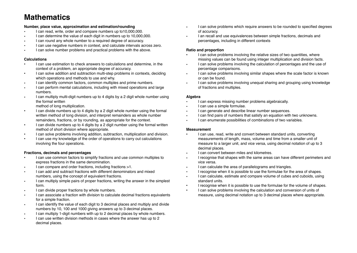### **Mathematics**

#### **Number, place value, approximation and estimation/rounding**

- I can read, write, order and compare numbers up to10,000,000.
- I can determine the value of each digit in numbers up to 10,000,000.
- I can round any whole number to a required degree of accuracy.
- I can use negative numbers in context, and calculate intervals across zero.
- I can solve number problems and practical problems with the above.

#### **Calculations**

- I can use estimation to check answers to calculations and determine, in the context of a problem, an appropriate degree of accuracy.
- I can solve addition and subtraction multi-step problems in contexts, deciding which operations and methods to use and why.
- I can identify common factors, common multiples and prime numbers.
- I can perform mental calculations, including with mixed operations and large numbers.
- I can multiply multi-digit numbers up to 4 digits by a 2 digit whole number using the formal written

method of long multiplication.

- I can divide numbers up to 4 digits by a 2 digit whole number using the formal written method of long division, and interpret remainders as whole number remainders, fractions, or by rounding, as appropriate for the context.
- I can divide numbers up to 4 digits by a 2 digit number using the formal written method of short division where appropriate.
- I can solve problems involving addition, subtraction, multiplication and division.
- I can use my knowledge of the order of operations to carry out calculations involving the four operations.

#### **Fractions, decimals and percentages**

- I can use common factors to simplify fractions and use common multiples to express fractions in the same denomination.
- I can compare and order fractions, including fractions >1.
- I can add and subtract fractions with different denominators and mixed numbers, using the concept of equivalent fractions.
- I can multiply simple pairs of proper fractions, writing the answer in the simplest form.
- I can divide proper fractions by whole numbers.
- I can associate a fraction with division to calculate decimal fractions equivalents for a simple fraction.
- I can identify the value of each digit to 3 decimal places and multiply and divide numbers by 10, 100 and 1000 giving answers up to 3 decimal places.
- I can multiply 1-digit numbers with up to 2 decimal places by whole numbers.
- I can use written division methods in cases where the answer has up to 2 decimal places.
- I can solve problems which require answers to be rounded to specified degrees of accuracy.
- I an recall and use equivalences between simple fractions, decimals and percentages, including in different contexts

#### **Ratio and proportion**

- I can solve problems involving the relative sizes of two quantities, where missing values can be found using integer multiplication and division facts.
- I can solve problems involving the calculation of percentages and the use of percentage comparisons.
- I can solve problems involving similar shapes where the scale factor is known or can be found.
- I can solve problems involving unequal sharing and grouping using knowledge of fractions and multiples.

#### **Algebra**

- I can express missing number problems algebraically.
- I can use a simple formulae.
- I can generate and describe linear number sequences.
- I can find pairs of numbers that satisfy an equation with two unknowns.
- I can enumerate possibilities of combinations of two variables.

#### **Measurement**

- I can use, read, write and convert between standard units, converting measurements of length, mass, volume and time from a smaller unit of measure to a larger unit, and vice versa, using decimal notation of up to 3 decimal places.
- I can convert between miles and kilometres.
- I recognise that shapes with the same areas can have different perimeters and vice versa.
- I can calculate the area of parallelograms and triangles.
- I recognise when it is possible to use the formulae for the area of shapes.
- I can calculate, estimate and compare volume of cubes and cuboids, using standard units.
- I recognise when it is possible to use the formulae for the volume of shapes.
- I can solve problems involving the calculation and conversion of units of measure, using decimal notation up to 3 decimal places where appropriate.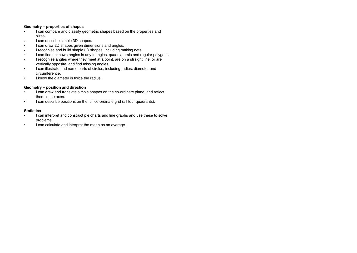#### **Geometry – properties of shapes**

- I can compare and classify geometric shapes based on the properties and sizes.
- I can describe simple 3D shapes.
- I can draw 2D shapes given dimensions and angles.
- I recognise and build simple 3D shapes, including making nets.
- I can find unknown angles in any triangles, quadrilaterals and regular polygons.
- I recognise angles where they meet at a point, are on a straight line, or are vertically opposite, and find missing angles.
- I can illustrate and name parts of circles, including radius, diameter and circumference.
- I know the diameter is twice the radius.

#### **Geometry – position and direction**

- I can draw and translate simple shapes on the co-ordinate plane, and reflect them in the axes.
- I can describe positions on the full co-ordinate grid (all four quadrants).

#### **Statistics**

- I can interpret and construct pie charts and line graphs and use these to solve problems.
- I can calculate and interpret the mean as an average.